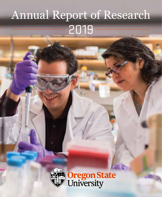## Annual Report of Research 2019



Oregon State<br>University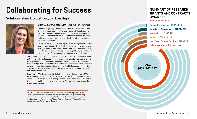## **Collaborating for Success**

### Solutions stem from strong partnerships



#### BY IREM Y. TUMER, INTERIM VICE PRESIDENT FOR RESEARCH

Like many major organizations and businesses, Oregon State University thrives on collaboration. Working closely with faculty researchers, OSU leaders and other partners has given me a new appreciation for the power of conversation, communication and the open exchange of ideas. This give-and-take leads to fruitful — and often unexpected — results.

Having moved to OSU 13 years ago from NASA's highly collaborative Ames Research Center, it is difficult for me to imagine a place where colleagues work in their offices alone. Whether in serendipitous encounters or in formal gatherings, the sharing of fresh, new and inspiring perspectives fuels our amazingly productive research enterprise.

This dynamic — part art, part science — derives from the OSU community's commitment to probe and seek solutions to some of our planet's most vexing issues: water availability, food production, infectious diseases, disaster response and climate change. Much of this work occurs at the intersection of diverse disciplines: science and liberal arts, engineering and human health, technology and music. Together, we inspire new ways of thinking, generate economic and social benefits and ultimately save lives.

In my role at OSU, I am honored to help lead endeavors that achieved a 15% increase in research funding in the last fiscal year. This accomplishment reflects constant collaboration and relationship building, key elements of the university's foundation, established 150 years ago to serve Oregon — and now serving the nation and the world.

*ON THE COVER: Viviana Perez, right, and Andrew Drake, an undergraduate in her*  lab, study the biochemistry of aging. They explore the mechanisms by which the drug *rapamycin can slow aging and improve health in mice. Perez is an associate professor in the Department of Biochemistry and Biophysics in the College of Science and the Linus Pauling Institute. (Photo: Hannah O'Leary)*

### **SUMMARY OF RESEARCH GRANTS AND CONTRACTS AWARDED FISCAL YEAR 2019**

**Nonprofit — \$12,392,446 State/Local Government — \$12,374,530 Foreign Government — \$1,176,056 Industry — \$36,494,193 Land-Grant Formula Funding — \$72,423,219 Federal Agencies — \$302,882,103**

**TOTAL \$439,742,547**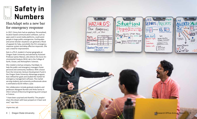## **Safety in Numbers**

### HazAdapt sets a new bar for emergency response

 $\overline{\circ}$ 

 $rac{|\chi|}{\circ \circ \circ}$ 

In 2017, Ginny Katz had an epiphany. Personalized, location-based communication software, such as apps used in social media platforms, could assist people in large public emergencies. Earthquakes and active-shooter situations can generate a flood of appeals for help, overwhelm the 911 emergency response system and delay effective responses. She saw a need for improvement.

Katz is a Ph.D. student in human geography at Oregon State University and advised by Assistant Professor James Watson, who directs the Socio-En vironmental Analysis (SEA) Lab in the College of Earth, Ocean, and Atmospheric Sciences.

She created a startup company, HazAdapt, to help the public and emergency managers foster personal and community resilience. With a boost from the University Venture Development Fund in the Oregon State University Advantage program, Katz refined her goals and studied the market for emergency management software. The market serving students and university professionals alone is estimated at \$150 million a year.

Her collaborators include graduate students and professors Margaret Burnett and Anita Sarma in OSU's School of Electrical Engineering and Comput er Science.

"I have been surprised and thankful. The people I share this dream with have jumped on it heart and soul," says Katz.

*Virginia Katz, left.*



5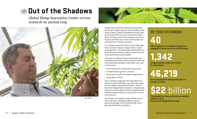### **SHADUT of the Shadows**

Global Hemp Innovation Center revives research on ancient crop



*Jay Noller*



Oregon State University officials have launched the nation's largest research center devoted to the study of hemp. Under the leadership of Jay Noller, former head of the Crop and Soil Science Department, the hemp center will coordinate research in Oregon and other parts of the United States and with partners in Europe and China.

For example, researchers will use a \$1 million gift from a private company, Oregon CBD, to study hemp genomics. Among the potential benefits are better disease resistance, higher productivity and more predictable product quality.

"We want to understand how to efficiently and sustainably grow hemp. Multiuse hemp is what we are excited about globally," says Noller. Such uses could include:

- Fiber materials for textiles and construction.
- An alternative to gravel in concrete.
- Hemp oils for health and wellness applications.
- Hemp grain in foods.

OSU is already recognized internationally for expertise in hemp cultivation, says Alan Sams, dean of the College of Agricultural Sciences. "We believe that Oregon State University is uniquely positioned to serve the global need for research-based understanding of hemp as a crop and for its use in new products."

The decision to create the center follows discussions with state and federal officials and congressional passage of the 2018 Farm Bill, which decriminalized hemp cultivation.

### BY THE NUMBERS

40

OSU faculty in 19 academic disciplines engaged in hemp research and Extension

## 1,342

Oregon growers licensed in 2019 to raise hemp

## 46,219

Acres licensed for hemp production in Oregon in 2019

## \$22 billion

The market for hemp-derived cannabidiol (CBD) by 2022 (Source, the Brightfield Group)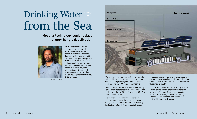# Drinking Water from the Sea

### Modular technology could replace energy-hungry desalination



When Oregon State University-Cascades researcher Bahman Abbasi sees industrial-scale, fossil-fuel powered water desalination, he envisions an energy-efficient alternative: portable systems that can be set up where needed and powered by a range of heat sources, including the sun. Abbasi leads a multi-university team taking an innovative approach to desalination as part of a \$21 million U.S. Department of Energy (DOE) program.

*Bahman Abbasi*



"We need to make water production very modular and portable, so it's closer to the point of consumption," he told Engineering Out Loud, a podcast produced by the OSU College of Engineering.

The assistant professor of mechanical engineering worked as an associate at Booz Allen Hamilton and a technical adviser to DOE before joining OSU-Cascades in Bend in 2017.

"Fresh water is an increasingly scarce resource in many regions around the globe," says Abbasi. "Our goal is to develop a transportable and off-grid desalination system that can be used along coast-

lines, other bodies of water, or in conjunction with existing desalination plants to deliver fresh drinking water to water-stressed communities, particularly those most in need."

The team includes researchers at Michigan State University, the University of Maryland and the University of Nevada-Reno. Undergraduate students in the energy systems engineering program at OSU-Cascades contributed to the design of the proposed system.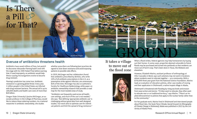

#### Overuse of antibiotics threatens health

Antibiotics have saved millions of lives, but penicillin discoverer Alexander Fleming hadn't even left the stage with his 1945 Nobel Prize before warning that, if used improperly, an antibiotic would help illness-causing microorganisms evolve to become drug resistant.

Fleming's prediction has come true. Antibiotic resistance is a growing global threat. Every year, 2 million people in the United States are infected with drug-resistant bacteria. The annual toll is up to 100,000 deaths and health-care costs of more than \$20 billion.

Oregon State University's Jessina McGregor, an associate professor in the College of Pharmacy, would like to reduce these sobering numbers. As a national researcher in antibiotic stewardship, she studies

whether prescribers are following best practices designed to slow down resistance and avoid exposing patients to possible side effects.

In 2019, McGregor and her collaborators found that antibiotics prescribed by dentists, who write 10% of all antibiotic prescriptions in the U.S. as a preemptive strike against infection, are unnecessary 81% of the time. McGregor has also co-authored a Society for Healthcare Epidemiology white paper on antibiotic stewardship research that provides a road map for the most-needed areas of study.

"Antibiotics are frequently used across all healthcare settings, and much of the use is not needed," she says. "But defining 'appropriate antibiotic use' is challenging without good data from well-designed studies. Our work aims to optimize care for individual patients and limit the spread of drug resistance."

### It takes a village to move out of the flood zone



*Elizabeth Marino*

When a flood strikes, federal agencies may help homeowners by buying out their homes. In some cases, properties deemed vulnerable to future floods may be purchased and turned into parklands so that residents can move out of harm's way. That's been done in Texas, the Midwest and elsewhere.

However, Elizabeth Marino, assistant professor of anthropology at OSU-Cascades in Bend, says such solutions may not work in locations where residents want to relocate together — as a community. With a \$750,000 three-year grant from the National Science Foundation, Marino leads an evaluation of relocation policies, other case studies of moving and their application in Shishmaref, a native Inupiat village in Alaska.

Shishmaref is threatened with flooding by rising sea levels and erosion from wave action and storms. "If tribes want to relocate, they often want to relocate near or on traditional territory," says Marino. "There's an implied ethnocentrism to policies that apply to the nuclear family rather than to the community."

For her graduate work, Marino lived in Shishmaref and interviewed people about flood risks. Her book *Fierce Climate, Sacred Ground: An Ethnography of Climate Change in Shishmaref, Alaska* was published in 2015 by the University of Alaska Press.